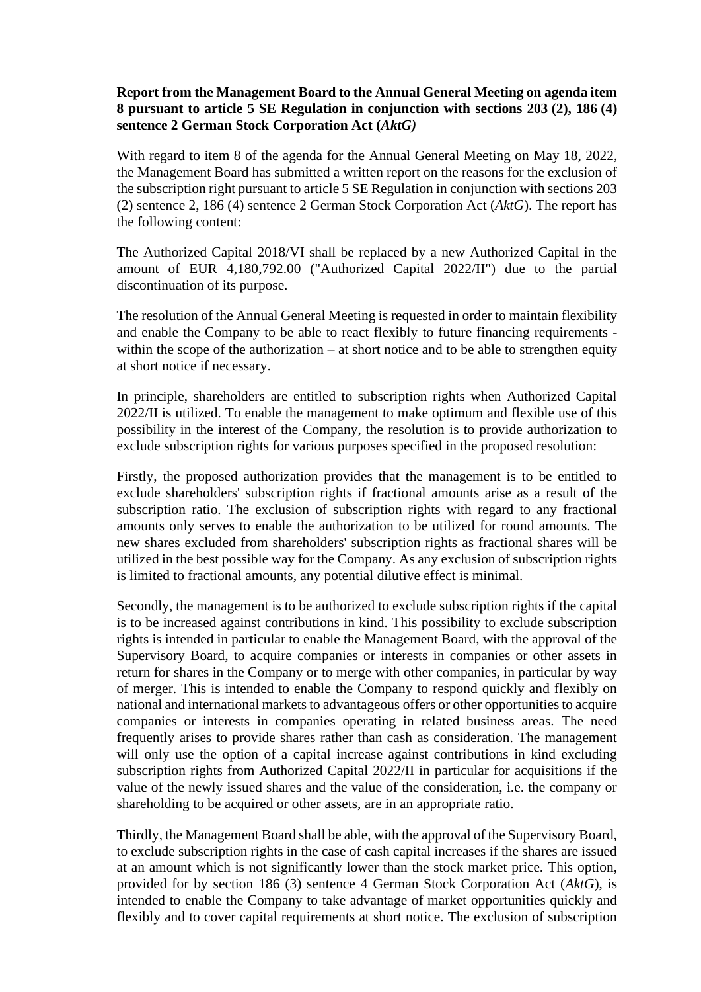## **Report from the Management Board to the Annual General Meeting on agenda item 8 pursuant to article 5 SE Regulation in conjunction with sections 203 (2), 186 (4) sentence 2 German Stock Corporation Act (***AktG)*

With regard to item 8 of the agenda for the Annual General Meeting on May 18, 2022, the Management Board has submitted a written report on the reasons for the exclusion of the subscription right pursuant to article 5 SE Regulation in conjunction with sections 203 (2) sentence 2, 186 (4) sentence 2 German Stock Corporation Act (*AktG*). The report has the following content:

The Authorized Capital 2018/VI shall be replaced by a new Authorized Capital in the amount of EUR 4,180,792.00 ("Authorized Capital 2022/II") due to the partial discontinuation of its purpose.

The resolution of the Annual General Meeting is requested in order to maintain flexibility and enable the Company to be able to react flexibly to future financing requirements within the scope of the authorization – at short notice and to be able to strengthen equity at short notice if necessary.

In principle, shareholders are entitled to subscription rights when Authorized Capital 2022/II is utilized. To enable the management to make optimum and flexible use of this possibility in the interest of the Company, the resolution is to provide authorization to exclude subscription rights for various purposes specified in the proposed resolution:

Firstly, the proposed authorization provides that the management is to be entitled to exclude shareholders' subscription rights if fractional amounts arise as a result of the subscription ratio. The exclusion of subscription rights with regard to any fractional amounts only serves to enable the authorization to be utilized for round amounts. The new shares excluded from shareholders' subscription rights as fractional shares will be utilized in the best possible way for the Company. As any exclusion of subscription rights is limited to fractional amounts, any potential dilutive effect is minimal.

Secondly, the management is to be authorized to exclude subscription rights if the capital is to be increased against contributions in kind. This possibility to exclude subscription rights is intended in particular to enable the Management Board, with the approval of the Supervisory Board, to acquire companies or interests in companies or other assets in return for shares in the Company or to merge with other companies, in particular by way of merger. This is intended to enable the Company to respond quickly and flexibly on national and international markets to advantageous offers or other opportunities to acquire companies or interests in companies operating in related business areas. The need frequently arises to provide shares rather than cash as consideration. The management will only use the option of a capital increase against contributions in kind excluding subscription rights from Authorized Capital 2022/II in particular for acquisitions if the value of the newly issued shares and the value of the consideration, i.e. the company or shareholding to be acquired or other assets, are in an appropriate ratio.

Thirdly, the Management Board shall be able, with the approval of the Supervisory Board, to exclude subscription rights in the case of cash capital increases if the shares are issued at an amount which is not significantly lower than the stock market price. This option, provided for by section 186 (3) sentence 4 German Stock Corporation Act (*AktG*), is intended to enable the Company to take advantage of market opportunities quickly and flexibly and to cover capital requirements at short notice. The exclusion of subscription